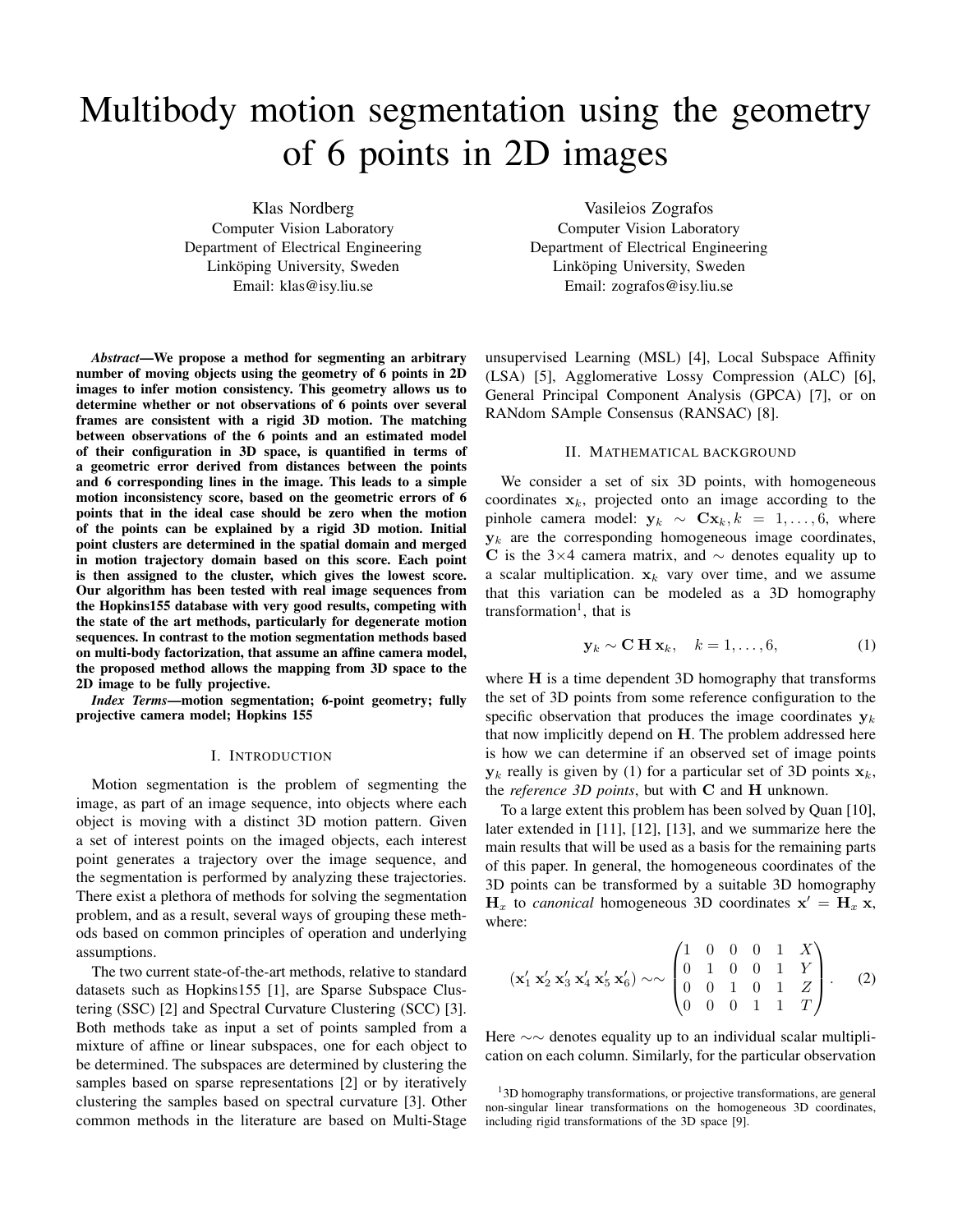# Multibody motion segmentation using the geometry of 6 points in 2D images

Klas Nordberg Computer Vision Laboratory Department of Electrical Engineering Linköping University, Sweden Email: klas@isy.liu.se

*Abstract*—We propose a method for segmenting an arbitrary number of moving objects using the geometry of 6 points in 2D images to infer motion consistency. This geometry allows us to determine whether or not observations of 6 points over several frames are consistent with a rigid 3D motion. The matching between observations of the 6 points and an estimated model of their configuration in 3D space, is quantified in terms of a geometric error derived from distances between the points and 6 corresponding lines in the image. This leads to a simple motion inconsistency score, based on the geometric errors of 6 points that in the ideal case should be zero when the motion of the points can be explained by a rigid 3D motion. Initial point clusters are determined in the spatial domain and merged in motion trajectory domain based on this score. Each point is then assigned to the cluster, which gives the lowest score. Our algorithm has been tested with real image sequences from the Hopkins155 database with very good results, competing with the state of the art methods, particularly for degenerate motion sequences. In contrast to the motion segmentation methods based on multi-body factorization, that assume an affine camera model, the proposed method allows the mapping from 3D space to the 2D image to be fully projective.

*Index Terms*—motion segmentation; 6-point geometry; fully projective camera model; Hopkins 155

#### I. INTRODUCTION

Motion segmentation is the problem of segmenting the image, as part of an image sequence, into objects where each object is moving with a distinct 3D motion pattern. Given a set of interest points on the imaged objects, each interest point generates a trajectory over the image sequence, and the segmentation is performed by analyzing these trajectories. There exist a plethora of methods for solving the segmentation problem, and as a result, several ways of grouping these methods based on common principles of operation and underlying assumptions.

The two current state-of-the-art methods, relative to standard datasets such as Hopkins155 [1], are Sparse Subspace Clustering (SSC) [2] and Spectral Curvature Clustering (SCC) [3]. Both methods take as input a set of points sampled from a mixture of affine or linear subspaces, one for each object to be determined. The subspaces are determined by clustering the samples based on sparse representations [2] or by iteratively clustering the samples based on spectral curvature [3]. Other common methods in the literature are based on Multi-Stage

Vasileios Zografos Computer Vision Laboratory Department of Electrical Engineering Linköping University, Sweden Email: zografos@isy.liu.se

unsupervised Learning (MSL) [4], Local Subspace Affinity (LSA) [5], Agglomerative Lossy Compression (ALC) [6], General Principal Component Analysis (GPCA) [7], or on RANdom SAmple Consensus (RANSAC) [8].

### II. MATHEMATICAL BACKGROUND

We consider a set of six 3D points, with homogeneous coordinates  $x_k$ , projected onto an image according to the pinhole camera model:  $y_k \sim Cx_k, k = 1, ..., 6$ , where  $y_k$  are the corresponding homogeneous image coordinates, C is the 3×4 camera matrix, and  $\sim$  denotes equality up to a scalar multiplication.  $x_k$  vary over time, and we assume that this variation can be modeled as a 3D homography transformation<sup>1</sup>, that is

$$
\mathbf{y}_k \sim \mathbf{C} \mathbf{H} \mathbf{x}_k, \quad k = 1, \dots, 6, \tag{1}
$$

where H is a time dependent 3D homography that transforms the set of 3D points from some reference configuration to the specific observation that produces the image coordinates  $y_k$ that now implicitly depend on H. The problem addressed here is how we can determine if an observed set of image points  $y_k$  really is given by (1) for a particular set of 3D points  $x_k$ , the *reference 3D points*, but with C and H unknown.

To a large extent this problem has been solved by Quan [10], later extended in [11], [12], [13], and we summarize here the main results that will be used as a basis for the remaining parts of this paper. In general, the homogeneous coordinates of the 3D points can be transformed by a suitable 3D homography  $H_x$  to *canonical* homogeneous 3D coordinates  $x' = H_x x$ , where:

$$
(\mathbf{x}'_1 \mathbf{x}'_2 \mathbf{x}'_3 \mathbf{x}'_4 \mathbf{x}'_5 \mathbf{x}'_6) \sim \sim \begin{pmatrix} 1 & 0 & 0 & 0 & 1 & X \\ 0 & 1 & 0 & 0 & 1 & Y \\ 0 & 0 & 1 & 0 & 1 & Z \\ 0 & 0 & 0 & 1 & 1 & T \end{pmatrix}.
$$
 (2)

Here ∼∼ denotes equality up to an individual scalar multiplication on each column. Similarly, for the particular observation

<sup>&</sup>lt;sup>1</sup>3D homography transformations, or projective transformations, are general non-singular linear transformations on the homogeneous 3D coordinates, including rigid transformations of the 3D space [9].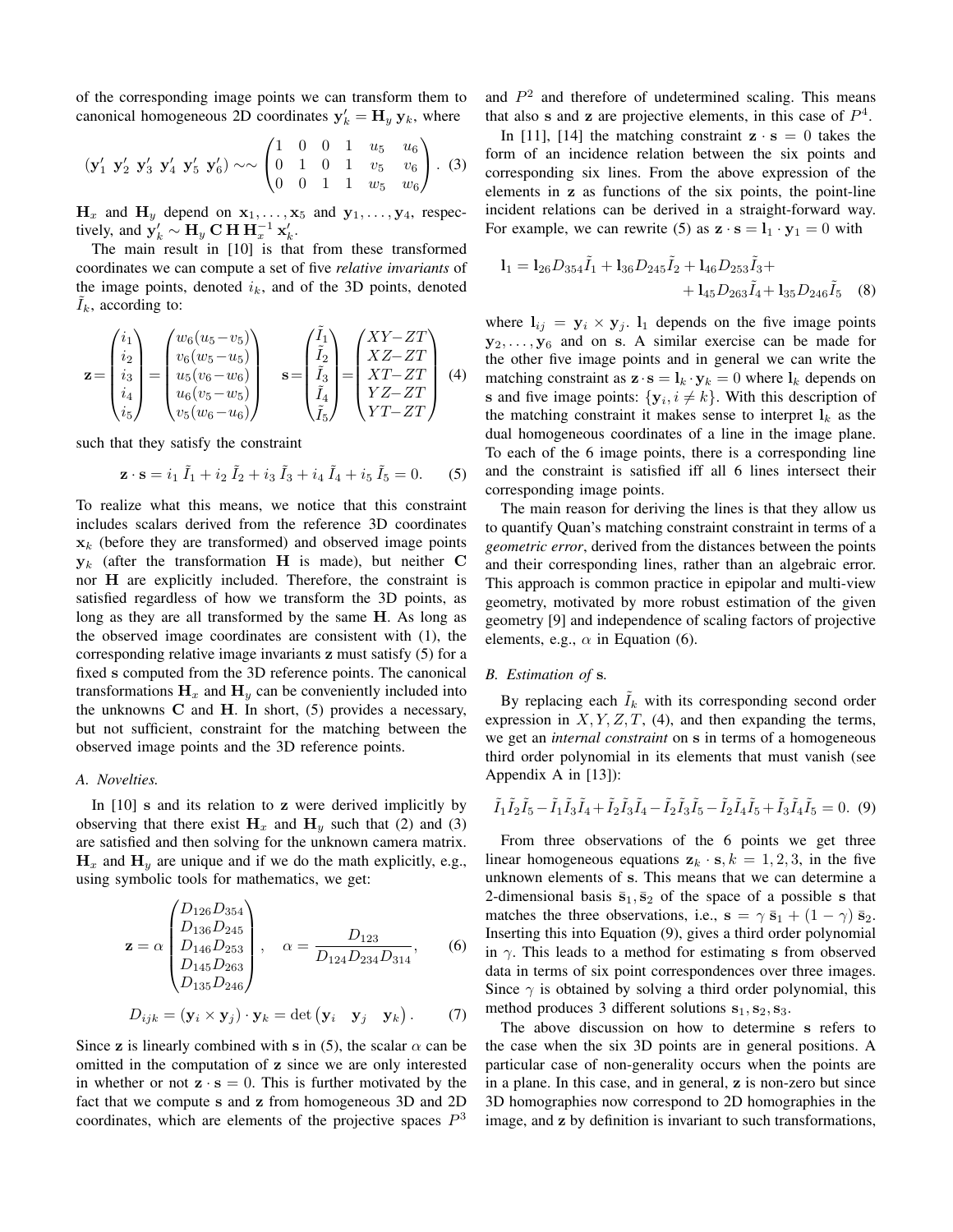of the corresponding image points we can transform them to canonical homogeneous 2D coordinates  $y'_k = H_y y_k$ , where

$$
(\mathbf{y}'_1 \ \mathbf{y}'_2 \ \mathbf{y}'_3 \ \mathbf{y}'_4 \ \mathbf{y}'_5 \ \mathbf{y}'_6) \sim \sim \begin{pmatrix} 1 & 0 & 0 & 1 & u_5 & u_6 \\ 0 & 1 & 0 & 1 & v_5 & v_6 \\ 0 & 0 & 1 & 1 & w_5 & w_6 \end{pmatrix} . \tag{3}
$$

 $H_x$  and  $H_y$  depend on  $x_1, \ldots, x_5$  and  $y_1, \ldots, y_4$ , respectively, and  $y'_k \sim H_y \textbf{C} \textbf{H} \textbf{H}_x^{-1} \textbf{x}'_k$ .

The main result in [10] is that from these transformed coordinates we can compute a set of five *relative invariants* of the image points, denoted  $i_k$ , and of the 3D points, denoted  $I_k$ , according to:

$$
\mathbf{z} = \begin{pmatrix} i_1 \\ i_2 \\ i_3 \\ i_4 \\ i_5 \end{pmatrix} = \begin{pmatrix} w_6(u_5 - v_5) \\ v_6(w_5 - u_5) \\ u_5(v_6 - w_6) \\ v_5(w_6 - u_6) \end{pmatrix} \quad \mathbf{s} = \begin{pmatrix} \tilde{I}_1 \\ \tilde{I}_2 \\ \tilde{I}_3 \\ \tilde{I}_4 \\ \tilde{I}_5 \end{pmatrix} = \begin{pmatrix} XY - ZT \\ XZ - ZT \\ XT - ZT \\ YZ - ZT \\ YT - ZT \\ YT - ZT \end{pmatrix} \quad (4)
$$

such that they satisfy the constraint

$$
\mathbf{z} \cdot \mathbf{s} = i_1 \tilde{I}_1 + i_2 \tilde{I}_2 + i_3 \tilde{I}_3 + i_4 \tilde{I}_4 + i_5 \tilde{I}_5 = 0. \tag{5}
$$

To realize what this means, we notice that this constraint includes scalars derived from the reference 3D coordinates  $x_k$  (before they are transformed) and observed image points  $y_k$  (after the transformation H is made), but neither C nor H are explicitly included. Therefore, the constraint is satisfied regardless of how we transform the 3D points, as long as they are all transformed by the same H. As long as the observed image coordinates are consistent with (1), the corresponding relative image invariants z must satisfy (5) for a fixed s computed from the 3D reference points. The canonical transformations  $H_x$  and  $H_y$  can be conveniently included into the unknowns  $C$  and  $H$ . In short, (5) provides a necessary, but not sufficient, constraint for the matching between the observed image points and the 3D reference points.

#### *A. Novelties.*

In  $[10]$  s and its relation to z were derived implicitly by observing that there exist  $H_x$  and  $H_y$  such that (2) and (3) are satisfied and then solving for the unknown camera matrix.  $H_x$  and  $H_y$  are unique and if we do the math explicitly, e.g., using symbolic tools for mathematics, we get:

$$
\mathbf{z} = \alpha \begin{pmatrix} D_{126}D_{354} \\ D_{136}D_{245} \\ D_{146}D_{253} \\ D_{145}D_{263} \\ D_{135}D_{246} \end{pmatrix}, \quad \alpha = \frac{D_{123}}{D_{124}D_{234}D_{314}}, \quad (6)
$$

$$
D_{ijk} = (\mathbf{y}_i \times \mathbf{y}_j) \cdot \mathbf{y}_k = \det (\mathbf{y}_i \quad \mathbf{y}_j \quad \mathbf{y}_k).
$$
 (7)

Since z is linearly combined with s in (5), the scalar  $\alpha$  can be omitted in the computation of z since we are only interested in whether or not  $\mathbf{z} \cdot \mathbf{s} = 0$ . This is further motivated by the fact that we compute s and z from homogeneous 3D and 2D coordinates, which are elements of the projective spaces  $P<sup>3</sup>$ 

and  $P<sup>2</sup>$  and therefore of undetermined scaling. This means that also s and z are projective elements, in this case of  $P<sup>4</sup>$ .

In [11], [14] the matching constraint  $\mathbf{z} \cdot \mathbf{s} = 0$  takes the form of an incidence relation between the six points and corresponding six lines. From the above expression of the elements in z as functions of the six points, the point-line incident relations can be derived in a straight-forward way. For example, we can rewrite (5) as  $\mathbf{z} \cdot \mathbf{s} = \mathbf{l}_1 \cdot \mathbf{y}_1 = 0$  with

$$
l_1 = l_{26}D_{354}\tilde{I}_1 + l_{36}D_{245}\tilde{I}_2 + l_{46}D_{253}\tilde{I}_3 + + l_{45}D_{263}\tilde{I}_4 + l_{35}D_{246}\tilde{I}_5
$$
 (8)

where  $\mathbf{l}_{ij} = \mathbf{y}_i \times \mathbf{y}_j$ .  $\mathbf{l}_1$  depends on the five image points  $y_2, \ldots, y_6$  and on s. A similar exercise can be made for the other five image points and in general we can write the matching constraint as  $\mathbf{z} \cdot \mathbf{s} = \mathbf{l}_k \cdot \mathbf{y}_k = 0$  where  $\mathbf{l}_k$  depends on is and five image points:  $\{y_i, i \neq k\}$ . With this description of the matching constraint it makes sense to interpret  $l_k$  as the dual homogeneous coordinates of a line in the image plane. To each of the 6 image points, there is a corresponding line and the constraint is satisfied iff all 6 lines intersect their corresponding image points.

The main reason for deriving the lines is that they allow us to quantify Quan's matching constraint constraint in terms of a *geometric error*, derived from the distances between the points and their corresponding lines, rather than an algebraic error. This approach is common practice in epipolar and multi-view geometry, motivated by more robust estimation of the given geometry [9] and independence of scaling factors of projective elements, e.g.,  $\alpha$  in Equation (6).

#### *B. Estimation of* s*.*

By replacing each  $I_k$  with its corresponding second order expression in  $X, Y, Z, T$ , (4), and then expanding the terms, we get an *internal constraint* on s in terms of a homogeneous third order polynomial in its elements that must vanish (see Appendix A in [13]):

$$
\tilde{I}_1 \tilde{I}_2 \tilde{I}_5 - \tilde{I}_1 \tilde{I}_3 \tilde{I}_4 + \tilde{I}_2 \tilde{I}_3 \tilde{I}_4 - \tilde{I}_2 \tilde{I}_3 \tilde{I}_5 - \tilde{I}_2 \tilde{I}_4 \tilde{I}_5 + \tilde{I}_3 \tilde{I}_4 \tilde{I}_5 = 0.
$$
 (9)

From three observations of the 6 points we get three linear homogeneous equations  $z_k \cdot s, k = 1, 2, 3$ , in the five unknown elements of s. This means that we can determine a 2-dimensional basis  $\bar{s}_1, \bar{s}_2$  of the space of a possible s that matches the three observations, i.e.,  $\mathbf{s} = \gamma \, \bar{\mathbf{s}}_1 + (1 - \gamma) \, \bar{\mathbf{s}}_2$ . Inserting this into Equation (9), gives a third order polynomial in  $\gamma$ . This leads to a method for estimating s from observed data in terms of six point correspondences over three images. Since  $\gamma$  is obtained by solving a third order polynomial, this method produces 3 different solutions  $s_1, s_2, s_3$ .

The above discussion on how to determine s refers to the case when the six 3D points are in general positions. A particular case of non-generality occurs when the points are in a plane. In this case, and in general, z is non-zero but since 3D homographies now correspond to 2D homographies in the image, and z by definition is invariant to such transformations,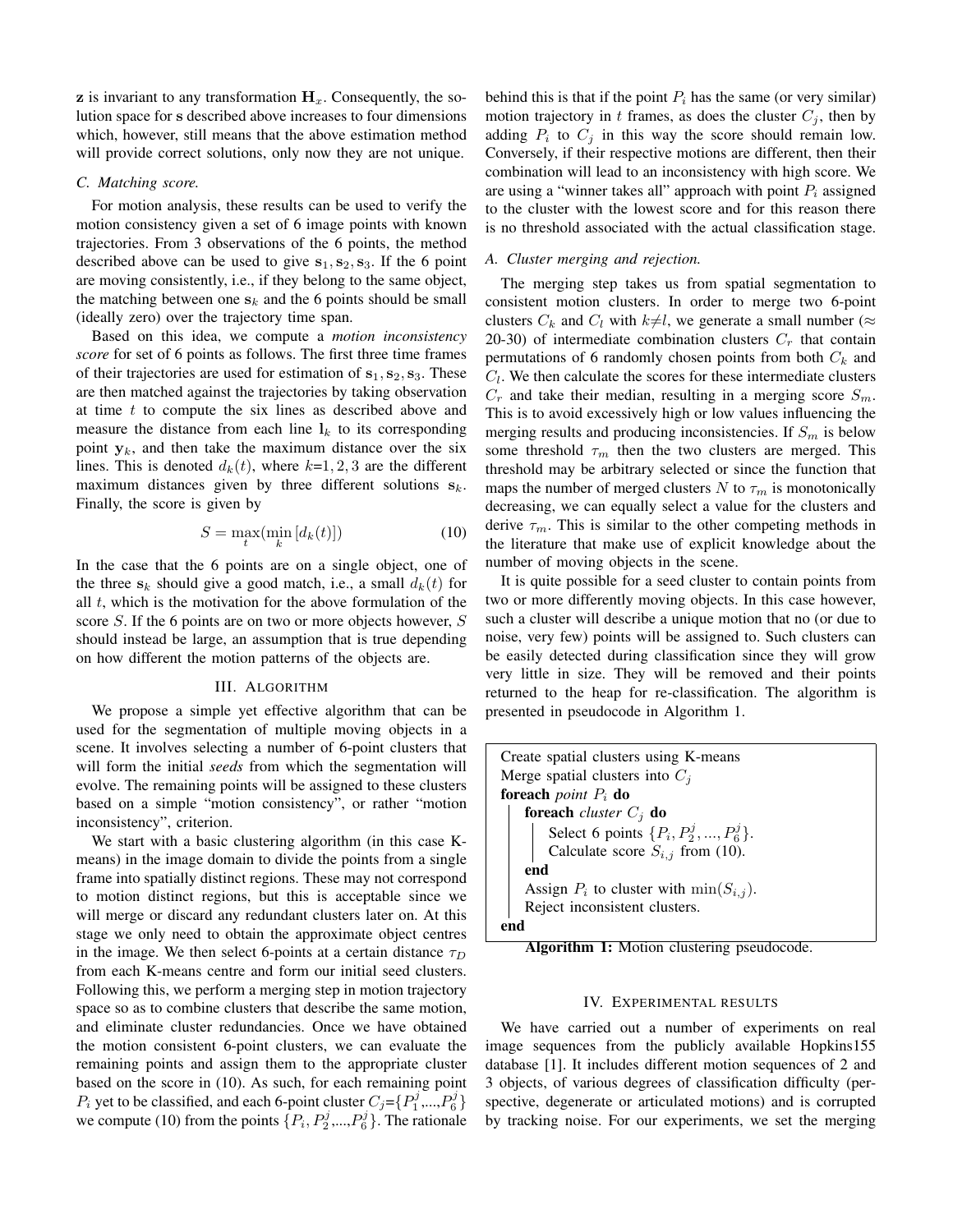$\mathbf{z}$  is invariant to any transformation  $\mathbf{H}_x$ . Consequently, the solution space for s described above increases to four dimensions which, however, still means that the above estimation method will provide correct solutions, only now they are not unique.

#### *C. Matching score.*

For motion analysis, these results can be used to verify the motion consistency given a set of 6 image points with known trajectories. From 3 observations of the 6 points, the method described above can be used to give  $s_1, s_2, s_3$ . If the 6 point are moving consistently, i.e., if they belong to the same object, the matching between one  $s_k$  and the 6 points should be small (ideally zero) over the trajectory time span.

Based on this idea, we compute a *motion inconsistency score* for set of 6 points as follows. The first three time frames of their trajectories are used for estimation of  $s_1, s_2, s_3$ . These are then matched against the trajectories by taking observation at time  $t$  to compute the six lines as described above and measure the distance from each line  $l_k$  to its corresponding point  $y_k$ , and then take the maximum distance over the six lines. This is denoted  $d_k(t)$ , where  $k=1, 2, 3$  are the different maximum distances given by three different solutions  $s_k$ . Finally, the score is given by

$$
S = \max_{t} (\min_{k} [d_k(t)])
$$
 (10)

In the case that the 6 points are on a single object, one of the three  $s_k$  should give a good match, i.e., a small  $d_k(t)$  for all  $t$ , which is the motivation for the above formulation of the score S. If the 6 points are on two or more objects however, S should instead be large, an assumption that is true depending on how different the motion patterns of the objects are.

## III. ALGORITHM

We propose a simple yet effective algorithm that can be used for the segmentation of multiple moving objects in a scene. It involves selecting a number of 6-point clusters that will form the initial *seeds* from which the segmentation will evolve. The remaining points will be assigned to these clusters based on a simple "motion consistency", or rather "motion inconsistency", criterion.

We start with a basic clustering algorithm (in this case Kmeans) in the image domain to divide the points from a single frame into spatially distinct regions. These may not correspond to motion distinct regions, but this is acceptable since we will merge or discard any redundant clusters later on. At this stage we only need to obtain the approximate object centres in the image. We then select 6-points at a certain distance  $\tau_D$ from each K-means centre and form our initial seed clusters. Following this, we perform a merging step in motion trajectory space so as to combine clusters that describe the same motion, and eliminate cluster redundancies. Once we have obtained the motion consistent 6-point clusters, we can evaluate the remaining points and assign them to the appropriate cluster based on the score in (10). As such, for each remaining point  $P_i$  yet to be classified, and each 6-point cluster  $C_j = \{P_1^j, ..., P_6^j\}$ we compute (10) from the points  $\{P_i, P_2^j, ..., P_6^j\}$ . The rationale behind this is that if the point  $P_i$  has the same (or very similar) motion trajectory in t frames, as does the cluster  $C_j$ , then by adding  $P_i$  to  $C_j$  in this way the score should remain low. Conversely, if their respective motions are different, then their combination will lead to an inconsistency with high score. We are using a "winner takes all" approach with point  $P_i$  assigned to the cluster with the lowest score and for this reason there is no threshold associated with the actual classification stage.

## *A. Cluster merging and rejection.*

The merging step takes us from spatial segmentation to consistent motion clusters. In order to merge two 6-point clusters  $C_k$  and  $C_l$  with  $k\neq l$ , we generate a small number ( $\approx$ 20-30) of intermediate combination clusters  $C_r$  that contain permutations of 6 randomly chosen points from both  $C_k$  and  $C_l$ . We then calculate the scores for these intermediate clusters  $C_r$  and take their median, resulting in a merging score  $S_m$ . This is to avoid excessively high or low values influencing the merging results and producing inconsistencies. If  $S_m$  is below some threshold  $\tau_m$  then the two clusters are merged. This threshold may be arbitrary selected or since the function that maps the number of merged clusters N to  $\tau_m$  is monotonically decreasing, we can equally select a value for the clusters and derive  $\tau_m$ . This is similar to the other competing methods in the literature that make use of explicit knowledge about the number of moving objects in the scene.

It is quite possible for a seed cluster to contain points from two or more differently moving objects. In this case however, such a cluster will describe a unique motion that no (or due to noise, very few) points will be assigned to. Such clusters can be easily detected during classification since they will grow very little in size. They will be removed and their points returned to the heap for re-classification. The algorithm is presented in pseudocode in Algorithm 1.

| Create spatial clusters using K-means                                               |
|-------------------------------------------------------------------------------------|
| Merge spatial clusters into $C_i$                                                   |
| foreach <i>point</i> $P_i$ do                                                       |
| foreach <i>cluster</i> $C_i$ do                                                     |
| Select 6 points $\{P_i, P_2^j, , P_6^j\}$ .<br>Calculate score $S_{i,j}$ from (10). |
|                                                                                     |
| end                                                                                 |
| Assign $P_i$ to cluster with $\min(S_{i,j})$ .                                      |
| Reject inconsistent clusters.                                                       |
|                                                                                     |

Algorithm 1: Motion clustering pseudocode.

### IV. EXPERIMENTAL RESULTS

We have carried out a number of experiments on real image sequences from the publicly available Hopkins155 database [1]. It includes different motion sequences of 2 and 3 objects, of various degrees of classification difficulty (perspective, degenerate or articulated motions) and is corrupted by tracking noise. For our experiments, we set the merging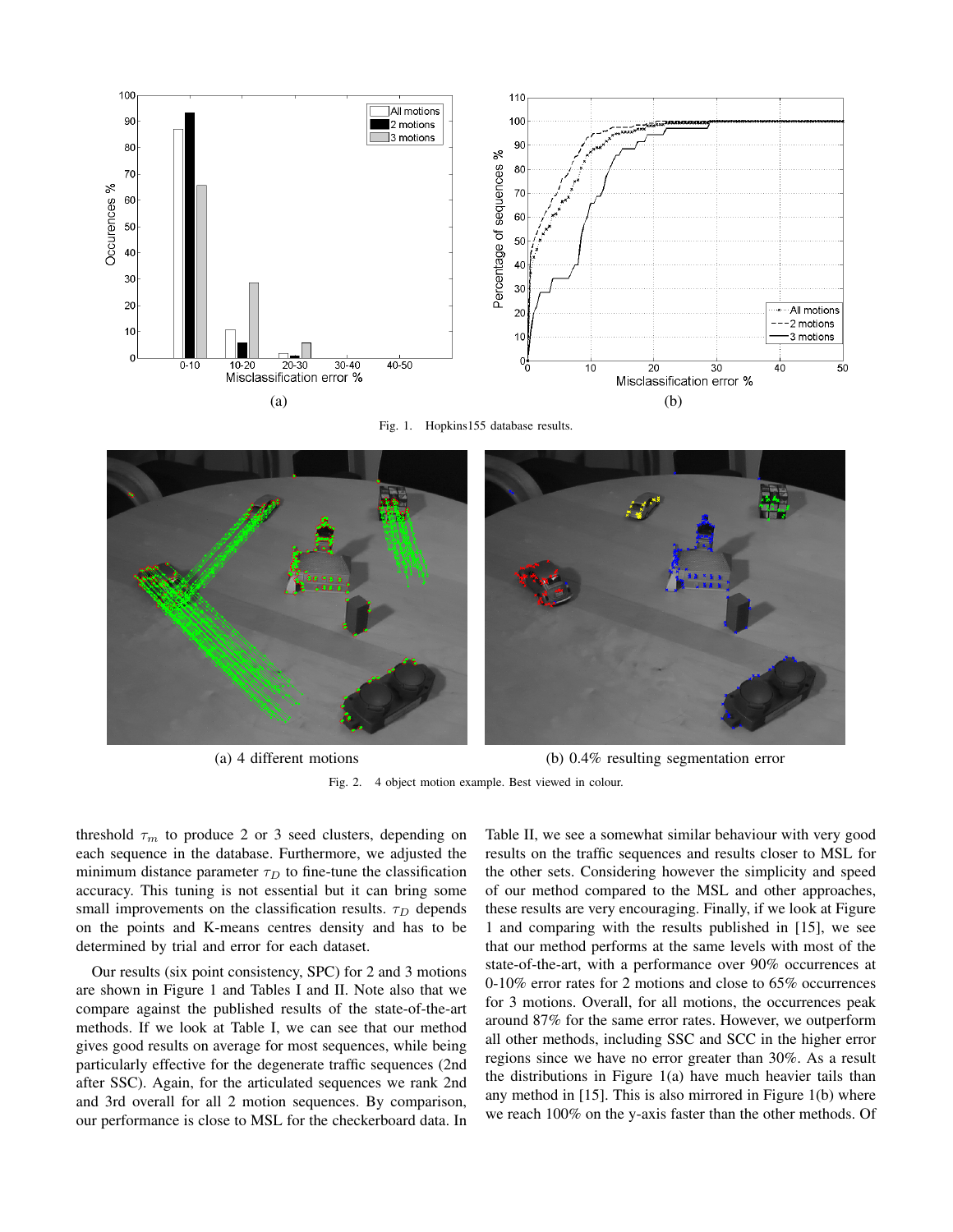

Fig. 1. Hopkins155 database results.



(a) 4 different motions (b) 0.4% resulting segmentation error

Fig. 2. 4 object motion example. Best viewed in colour.

threshold  $\tau_m$  to produce 2 or 3 seed clusters, depending on each sequence in the database. Furthermore, we adjusted the minimum distance parameter  $\tau_D$  to fine-tune the classification accuracy. This tuning is not essential but it can bring some small improvements on the classification results.  $\tau_D$  depends on the points and K-means centres density and has to be determined by trial and error for each dataset.

Our results (six point consistency, SPC) for 2 and 3 motions are shown in Figure 1 and Tables I and II. Note also that we compare against the published results of the state-of-the-art methods. If we look at Table I, we can see that our method gives good results on average for most sequences, while being particularly effective for the degenerate traffic sequences (2nd after SSC). Again, for the articulated sequences we rank 2nd and 3rd overall for all 2 motion sequences. By comparison, our performance is close to MSL for the checkerboard data. In Table II, we see a somewhat similar behaviour with very good results on the traffic sequences and results closer to MSL for the other sets. Considering however the simplicity and speed of our method compared to the MSL and other approaches, these results are very encouraging. Finally, if we look at Figure 1 and comparing with the results published in [15], we see that our method performs at the same levels with most of the state-of-the-art, with a performance over 90% occurrences at 0-10% error rates for 2 motions and close to 65% occurrences for 3 motions. Overall, for all motions, the occurrences peak around 87% for the same error rates. However, we outperform all other methods, including SSC and SCC in the higher error regions since we have no error greater than 30%. As a result the distributions in Figure  $1(a)$  have much heavier tails than any method in [15]. This is also mirrored in Figure 1(b) where we reach 100% on the y-axis faster than the other methods. Of